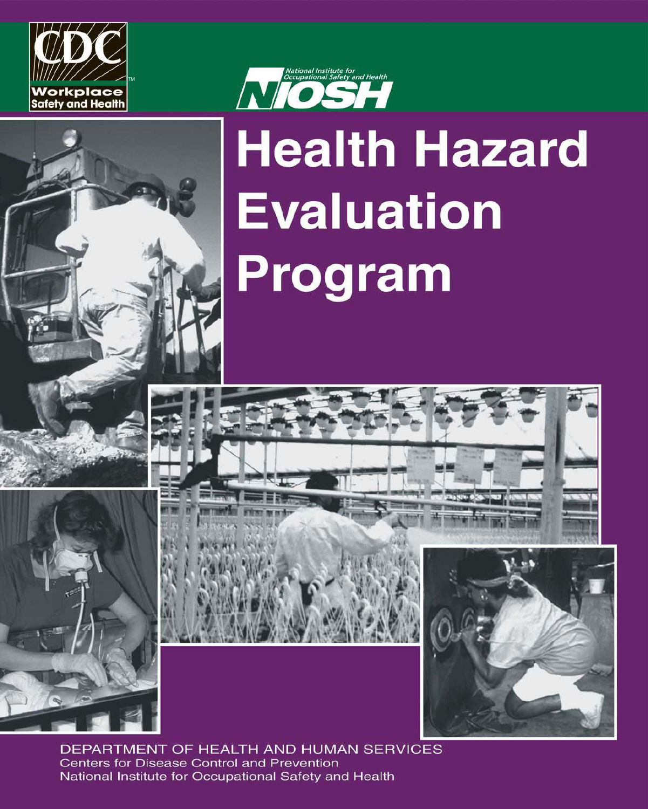





# **Health Hazard Evaluation** Program





DEPARTMENT OF HEALTH AND HUMAN SERVICES **Centers for Disease Control and Prevention** National Institute for Occupational Safety and Health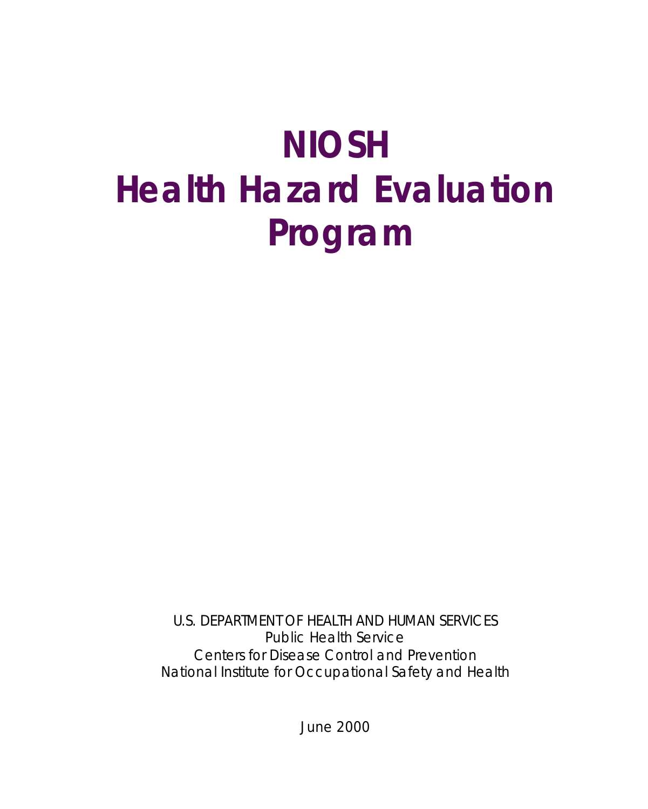## **NIOSH Health Hazard Evaluation Program**

U.S. DEPARTMENT OF HEALTH AND HUMAN SERVICES Public Health Service Centers for Disease Control and Prevention National Institute for Occupational Safety and Health

June 2000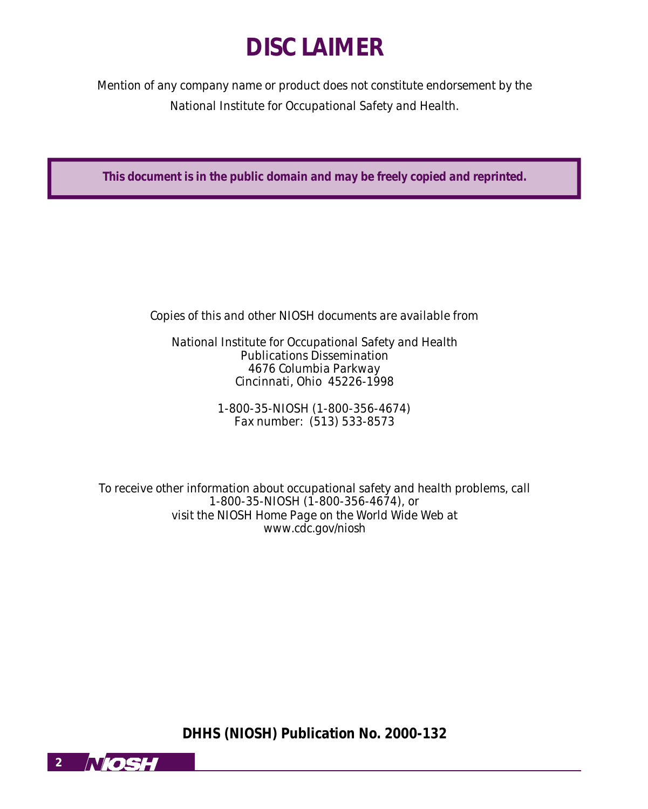## **DISCLAIMER**

*Mention of any company name or product does not constitute endorsement by the National Institute for Occupational Safety and Health.*

**This document is in the public domain and may be freely copied and reprinted.**

*Copies of this and other NIOSH documents are available from*

*National Institute for Occupational Safety and Health Publications Dissemination 4676 Columbia Parkway Cincinnati, Ohio 45226-1998*

> *1-800-35-NIOSH (1-800-356-4674) Fax number: (513) 533-8573*

*To receive other information about occupational safety and health problems, call 1-800-35-NIOSH (1-800-356-4674), or visit the NIOSH Home Page on the World Wide Web at www.cdc.gov/niosh*

**DHHS (NIOSH) Publication No. 2000-132**

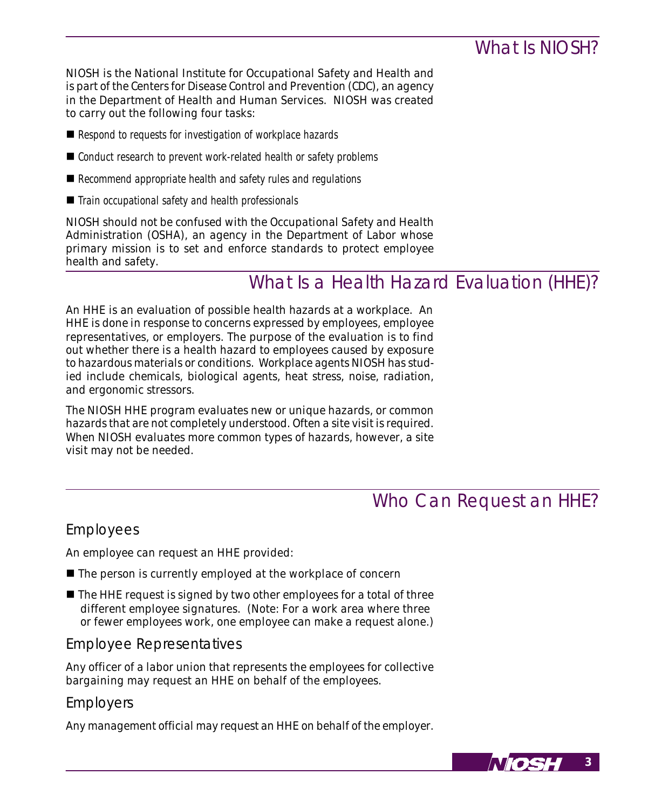## What Is NIOSH?

*NIOSH is the National Institute for Occupational Safety and Health and is part of the Centers for Disease Control and Prevention (CDC), an agency in the Department of Health and Human Services. NIOSH was created to carry out the following four tasks:*

- *Respond to requests for investigation of workplace hazards*
- *Conduct research to prevent work-related health or safety problems*
- *Recommend appropriate health and safety rules and regulations*
- *Train occupational safety and health professionals*

*NIOSH should not be confused with the Occupational Safety and Health Administration (OSHA), an agency in the Department of Labor whose primary mission is to set and enforce standards to protect employee health and safety.*

## What Is a Health Hazard Evaluation (HHE)?

*An HHE is an evaluation of possible health hazards at a workplace. An HHE is done in response to concerns expressed by employees, employee representatives, or employers. The purpose of the evaluation is to find out whether there is a health hazard to employees caused by exposure to hazardous materials or conditions. Workplace agents NIOSH has studied include chemicals, biological agents, heat stress, noise, radiation, and ergonomic stressors.*

*The NIOSH HHE program evaluates new or unique hazards, or common hazards that are not completely understood. Often a site visit is required. When NIOSH evaluates more common types of hazards, however, a site visit may not be needed.*

## Who Can Request an HHE?

## Employees

*An employee can request an HHE provided:*

- The person is currently employed at the workplace of concern
- The HHE request is signed by two other employees for a total of three *different employee signatures. (Note: For a work area where three or fewer employees work, one employee can make a request alone.)*

## Employee Representatives

*Any officer of a labor union that represents the employees for collective bargaining may request an HHE on behalf of the employees.*

## Employers

*Any management official may request an HHE on behalf of the employer.*

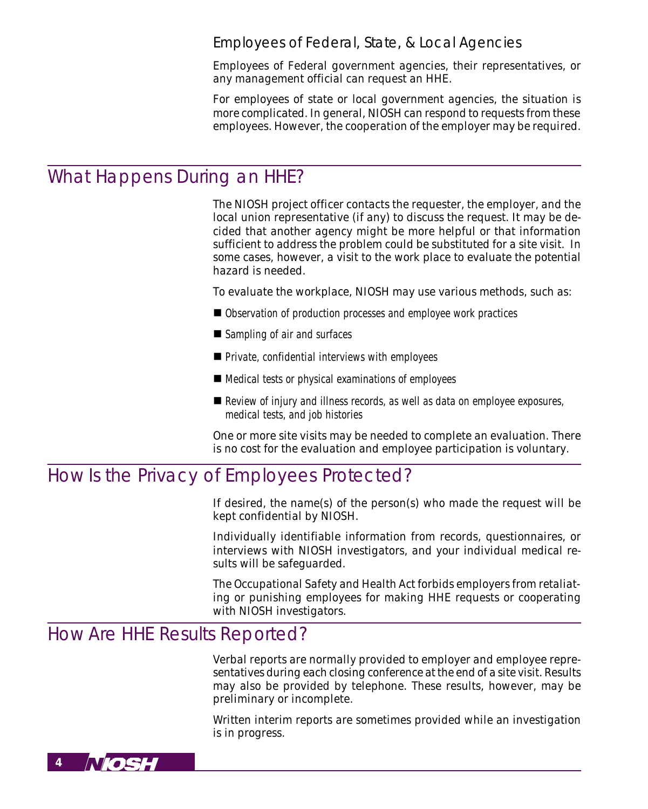### Employees of Federal, State, & Local Agencies

*Employees of Federal government agencies, their representatives, or any management official can request an HHE.*

*For employees of state or local government agencies, the situation is more complicated. In general, NIOSH can respond to requests from these employees. However, the cooperation of the employer may be required.*

## What Happens During an HHE?

*The NIOSH project officer contacts the requester, the employer, and the local union representative (if any) to discuss the request. It may be decided that another agency might be more helpful or that information sufficient to address the problem could be substituted for a site visit. In some cases, however, a visit to the work place to evaluate the potential hazard is needed.*

*To evaluate the workplace, NIOSH may use various methods, such as:*

- *Observation of production processes and employee work practices*
- *Sampling of air and surfaces*
- *Private, confidential interviews with employees*
- *Medical tests or physical examinations of employees*
- *Review of injury and illness records, as well as data on employee exposures, medical tests, and job histories*

*One or more site visits may be needed to complete an evaluation. There is no cost for the evaluation and employee participation is voluntary.*

## How Is the Privacy of Employees Protected?

*If desired, the name(s) of the person(s) who made the request will be kept confidential by NIOSH.*

*Individually identifiable information from records, questionnaires, or interviews with NIOSH investigators, and your individual medical results will be safeguarded.*

*The Occupational Safety and Health Act forbids employers from retaliating or punishing employees for making HHE requests or cooperating with NIOSH investigators.*

## How Are HHE Results Reported?

*Verbal reports are normally provided to employer and employee representatives during each closing conference at the end of a site visit. Results may also be provided by telephone. These results, however, may be preliminary or incomplete.*

*Written interim reports are sometimes provided while an investigation is in progress.*

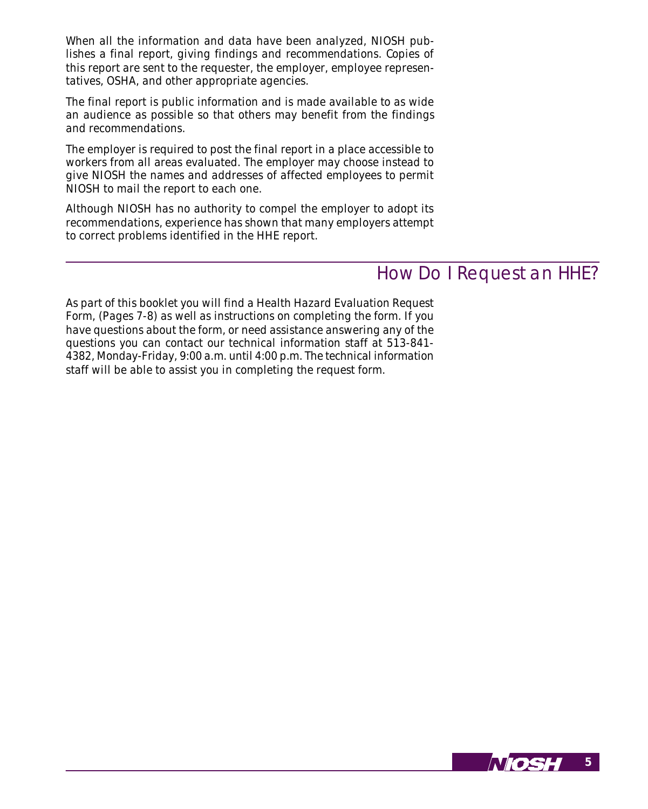*When all the information and data have been analyzed, NIOSH publishes a final report, giving findings and recommendations. Copies of this report are sent to the requester, the employer, employee representatives, OSHA, and other appropriate agencies.*

*The final report is public information and is made available to as wide an audience as possible so that others may benefit from the findings and recommendations.*

*The employer is required to post the final report in a place accessible to workers from all areas evaluated. The employer may choose instead to give NIOSH the names and addresses of affected employees to permit NIOSH to mail the report to each one.*

*Although NIOSH has no authority to compel the employer to adopt its recommendations, experience has shown that many employers attempt to correct problems identified in the HHE report.*

## How Do I Request an HHE?

*As part of this booklet you will find a Health Hazard Evaluation Request Form, (Pages 7-8) as well as instructions on completing the form. If you have questions about the form, or need assistance answering any of the questions you can contact our technical information staff at 513-841- 4382, Monday-Friday, 9:00 a.m. until 4:00 p.m. The technical information staff will be able to assist you in completing the request form.*

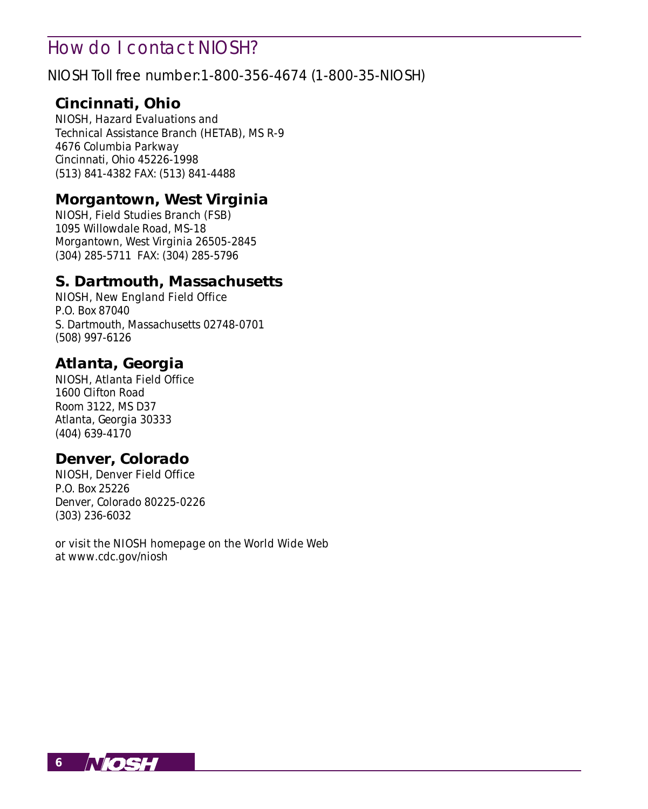## How do I contact NIOSH?

NIOSH Toll free number:1-800-356-4674 (1-800-35-NIOSH)

## **Cincinnati, Ohio**

*NIOSH, Hazard Evaluations and Technical Assistance Branch (HETAB), MS R-9 4676 Columbia Parkway Cincinnati, Ohio 45226-1998 (513) 841-4382 FAX: (513) 841-4488*

## **Morgantown, West Virginia**

*NIOSH, Field Studies Branch (FSB) 1095 Willowdale Road, MS-18 Morgantown, West Virginia 26505-2845 (304) 285-5711 FAX: (304) 285-5796*

## **S. Dartmouth, Massachusetts**

*NIOSH, New England Field Office P.O. Box 87040 S. Dartmouth, Massachusetts 02748-0701 (508) 997-6126*

## **Atlanta, Georgia**

*NIOSH, Atlanta Field Office 1600 Clifton Road Room 3122, MS D37 Atlanta, Georgia 30333 (404) 639-4170*

## **Denver, Colorado**

*NIOSH, Denver Field Office P.O. Box 25226 Denver, Colorado 80225-0226 (303) 236-6032*

*or visit the NIOSH homepage on the World Wide Web at www.cdc.gov/niosh*

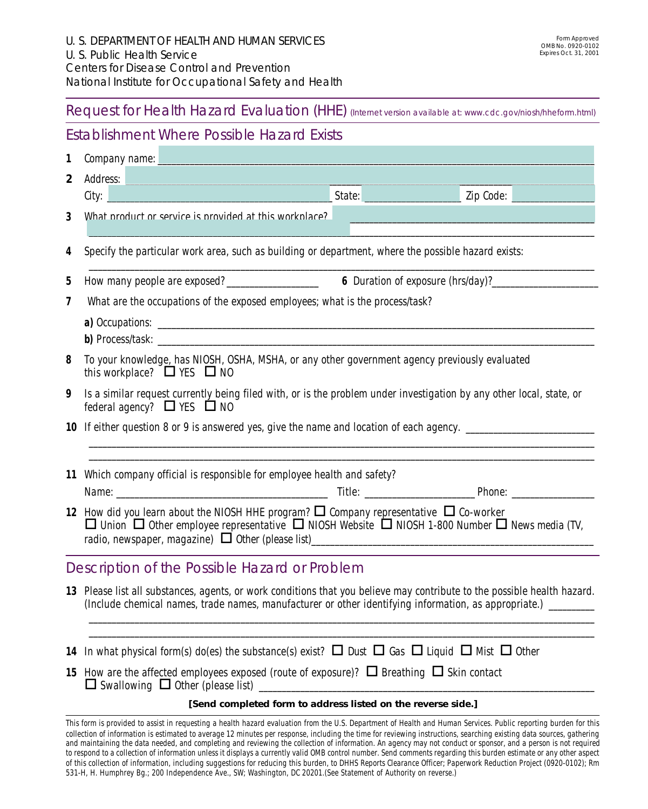Request for Health Hazard Evaluation (HHE) (Internet version available at: www.cdc.gov/niosh/hheform.html)

## Establishment Where Possible Hazard Exists

| 1              | Company name:                                                                                                                                                                                                                                             |  |  |  |  |  |  |
|----------------|-----------------------------------------------------------------------------------------------------------------------------------------------------------------------------------------------------------------------------------------------------------|--|--|--|--|--|--|
| $\overline{2}$ | Address:                                                                                                                                                                                                                                                  |  |  |  |  |  |  |
|                | <b>State:</b> State: State: State: State: State: State: State: State: State: State: State: State: State: State: State: State: State: State: State: State: State: State: State: State: State: State: State: State: State: State: Sta<br>Zip Code:<br>City: |  |  |  |  |  |  |
| 3              | What product or service is provided at this workplace?                                                                                                                                                                                                    |  |  |  |  |  |  |
| $\overline{4}$ | Specify the particular work area, such as building or department, where the possible hazard exists:                                                                                                                                                       |  |  |  |  |  |  |
| 5              | How many people are exposed?<br><b>6</b> Duration of exposure (hrs/day)?                                                                                                                                                                                  |  |  |  |  |  |  |
| 7              | What are the occupations of the exposed employees; what is the process/task?                                                                                                                                                                              |  |  |  |  |  |  |
|                |                                                                                                                                                                                                                                                           |  |  |  |  |  |  |
| 8              | To your knowledge, has NIOSH, OSHA, MSHA, or any other government agency previously evaluated<br>this workplace? $\Box$ YES $\Box$ NO                                                                                                                     |  |  |  |  |  |  |
| 9              | Is a similar request currently being filed with, or is the problem under investigation by any other local, state, or<br>federal agency? $\Box$ YES $\Box$ NO                                                                                              |  |  |  |  |  |  |
|                | 10 If either question 8 or 9 is answered yes, give the name and location of each agency. _____________________                                                                                                                                            |  |  |  |  |  |  |
|                | 11 Which company official is responsible for employee health and safety?                                                                                                                                                                                  |  |  |  |  |  |  |
|                | 12 How did you learn about the NIOSH HHE program? $\Box$ Company representative $\Box$ Co-worker<br>$\Box$ Union $\Box$ Other employee representative $\Box$ NIOSH Website $\Box$ NIOSH 1-800 Number $\Box$ News media (TV,                               |  |  |  |  |  |  |
|                | Description of the Possible Hazard or Problem                                                                                                                                                                                                             |  |  |  |  |  |  |
|                | 13 Please list all substances, agents, or work conditions that you believe may contribute to the possible health hazard.<br>(Include chemical names, trade names, manufacturer or other identifying information, as appropriate.) ________                |  |  |  |  |  |  |
|                |                                                                                                                                                                                                                                                           |  |  |  |  |  |  |

- *14 In what physical form(s) do(es) the substance(s) exist?*  $\Box$  *Dust*  $\Box$  *Gas*  $\Box$  *Liquid*  $\Box$  *Mist*  $\Box$  *Other*
- **15** How are the affected employees exposed (route of exposure)?  $\Box$  Breathing  $\Box$  Skin contact  $\Box$  Swallowing  $\Box$  Other (please list)

#### **[Send completed form to address listed on the reverse side.]**

**7** *of this collection of information, including suggestions for reducing this burden, to DHHS Reports Clearance Officer; Paperwork Reduction Project (0920-0102); Rm This form is provided to assist in requesting a health hazard evaluation from the U.S. Department of Health and Human Services. Public reporting burden for this collection of information is estimated to average 12 minutes per response, including the time for reviewing instructions, searching existing data sources, gathering and maintaining the data needed, and completing and reviewing the collection of information. An agency may not conduct or sponsor, and a person is not required to respond to a collection of information unless it displays a currently valid OMB control number. Send comments regarding this burden estimate or any other aspect 531-H, H. Humphrey Bg.; 200 Independence Ave., SW; Washington, DC 20201.(See Statement of Authority on reverse.)*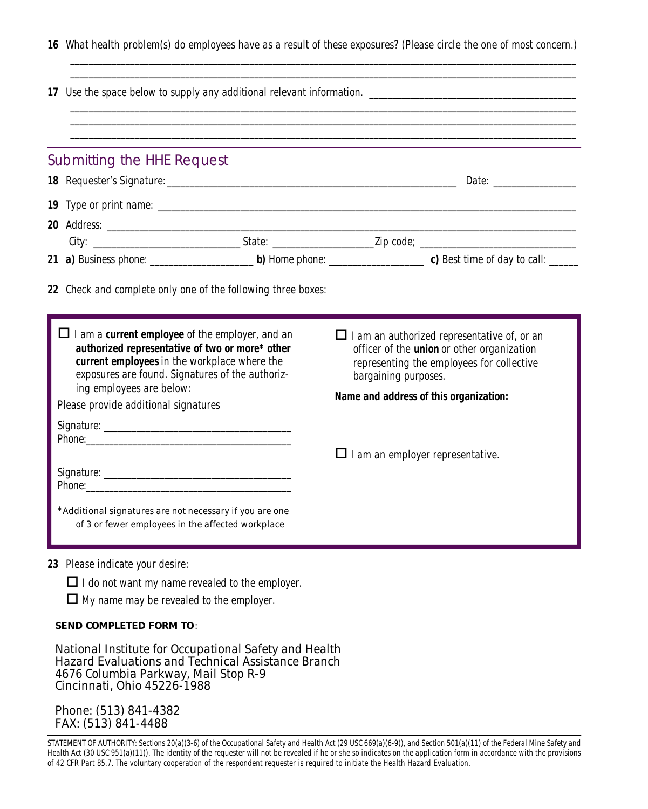|  |  |  |  |  |  | 16 What health problem(s) do employees have as a result of these exposures? (Please circle the one of most concern.) |
|--|--|--|--|--|--|----------------------------------------------------------------------------------------------------------------------|
|--|--|--|--|--|--|----------------------------------------------------------------------------------------------------------------------|

*\_\_\_\_\_\_\_\_\_\_\_\_\_\_\_\_\_\_\_\_\_\_\_\_\_\_\_\_\_\_\_\_\_\_\_\_\_\_\_\_\_\_\_\_\_\_\_\_\_\_\_\_\_\_\_\_\_\_\_\_\_\_\_\_\_\_\_\_\_\_\_\_\_\_\_\_\_\_\_\_\_\_\_\_\_\_\_\_\_\_\_\_\_\_\_\_\_\_\_\_\_\_\_\_\_\_\_\_\_\_*

| Submitting the HHE Request           |                                                                                                                                                                                                                      |                                                                                                                                                                              |  |  |  |  |
|--------------------------------------|----------------------------------------------------------------------------------------------------------------------------------------------------------------------------------------------------------------------|------------------------------------------------------------------------------------------------------------------------------------------------------------------------------|--|--|--|--|
|                                      |                                                                                                                                                                                                                      |                                                                                                                                                                              |  |  |  |  |
|                                      |                                                                                                                                                                                                                      |                                                                                                                                                                              |  |  |  |  |
|                                      |                                                                                                                                                                                                                      |                                                                                                                                                                              |  |  |  |  |
|                                      |                                                                                                                                                                                                                      |                                                                                                                                                                              |  |  |  |  |
|                                      |                                                                                                                                                                                                                      | 21 a) Business phone: $\rule{1em}{0.15mm}$ b) Home phone: $\rule{1.5mm}{0.15mm}$ c) Best time of day to call:                                                                |  |  |  |  |
| ing employees are below:             | $\Box$ I am a <b>current employee</b> of the employer, and an<br>authorized representative of two or more* other<br>current employees in the workplace where the<br>exposures are found. Signatures of the authoriz- | $\Box$ I am an authorized representative of, or an<br>officer of the <i>union</i> or other organization<br>representing the employees for collective<br>bargaining purposes. |  |  |  |  |
| Please provide additional signatures |                                                                                                                                                                                                                      | Name and address of this organization:                                                                                                                                       |  |  |  |  |
|                                      |                                                                                                                                                                                                                      |                                                                                                                                                                              |  |  |  |  |
|                                      |                                                                                                                                                                                                                      | $\Box$ I am an employer representative.                                                                                                                                      |  |  |  |  |
|                                      |                                                                                                                                                                                                                      |                                                                                                                                                                              |  |  |  |  |
|                                      | *Additional signatures are not necessary if you are one<br>of 3 or fewer employees in the affected workplace                                                                                                         |                                                                                                                                                                              |  |  |  |  |

*23 Please indicate your desire:*

 $\Box$  *I do not want my name revealed to the employer.* 

o *My name may be revealed to the employer.*

#### **SEND COMPLETED FORM TO***:*

*National Institute for Occupational Safety and Health Hazard Evaluations and Technical Assistance Branch 4676 Columbia Parkway, Mail Stop R-9 Cincinnati, Ohio 45226-1988*

*Phone: (513) 841-4382 FAX: (513) 841-4488*

**8** *of 42 CFR Part 85.7. The voluntary cooperation of the respondent requester is required to initiate the Health Hazard Evaluation.STATEMENT OF AUTHORITY: Sections 20(a)(3-6) of the Occupational Safety and Health Act (29 USC 669(a)(6-9)), and Section 501(a)(11) of the Federal Mine Safety and Health Act (30 USC 951(a)(11)). The identity of the requester will not be revealed if he or she so indicates on the application form in accordance with the provisions*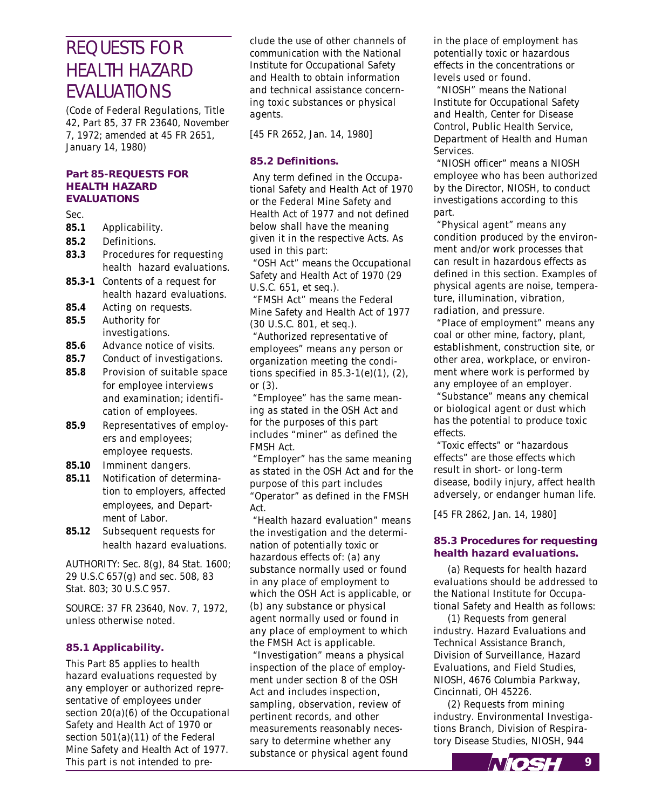## REQUESTS FOR HEALTH HAZARD EVALUATIONS

*(Code of Federal Regulations, Title 42, Part 85, 37 FR 23640, November 7, 1972; amended at 45 FR 2651, January 14, 1980)*

#### **Part 85-REQUESTS FOR HEALTH HAZARD EVALUATIONS**

#### *Sec.*

- **85.1** *Applicability.*
- **85.2** *Definitions.*
- **83.3** *Procedures for requesting health hazard evaluations.*
- **85.3-1** *Contents of a request for health hazard evaluations.*
- **85.4** *Acting on requests.* **85.5** *Authority for*
- *investigations.*
- **85.6** *Advance notice of visits.*
- **85.7** *Conduct of investigations.*
- **85.8** *Provision of suitable space for employee interviews and examination; identification of employees.*
- **85.9** *Representatives of employers and employees; employee requests.*
- **85.10** *Imminent dangers.*
- **85.11** *Notification of determination to employers, affected employees, and Department of Labor.*
- **85.12** *Subsequent requests for health hazard evaluations.*

*AUTHORITY: Sec. 8(g), 84 Stat. 1600; 29 U.S.C 657(g) and sec. 508, 83 Stat. 803; 30 U.S.C 957.*

*SOURCE: 37 FR 23640, Nov. 7, 1972, unless otherwise noted.*

#### **85.1 Applicability.**

*This Part 85 applies to health hazard evaluations requested by any employer or authorized representative of employees under section 20(a)(6) of the Occupational Safety and Health Act of 1970 or section 501(a)(11) of the Federal Mine Safety and Health Act of 1977. This part is not intended to pre-* *clude the use of other channels of communication with the National Institute for Occupational Safety and Health to obtain information and technical assistance concerning toxic substances or physical agents.*

*[45 FR 2652, Jan. 14, 1980]*

#### **85.2 Definitions.**

 *Any term defined in the Occupational Safety and Health Act of 1970 or the Federal Mine Safety and Health Act of 1977 and not defined below shall have the meaning given it in the respective Acts. As used in this part:*

 *"OSH Act" means the Occupational Safety and Health Act of 1970 (29 U.S.C. 651, et seq.).*

 *"FMSH Act" means the Federal Mine Safety and Health Act of 1977 (30 U.S.C. 801, et seq.).*

 *"Authorized representative of employees" means any person or organization meeting the conditions specified in 85.3-1(e)(1), (2), or (3).*

 *"Employee" has the same meaning as stated in the OSH Act and for the purposes of this part includes "miner" as defined the FMSH Act.*

 *"Employer" has the same meaning as stated in the OSH Act and for the purpose of this part includes "Operator" as defined in the FMSH Act.*

 *"Health hazard evaluation" means the investigation and the determination of potentially toxic or hazardous effects of: (a) any substance normally used or found in any place of employment to which the OSH Act is applicable, or (b) any substance or physical agent normally used or found in any place of employment to which the FMSH Act is applicable.*

 *"Investigation" means a physical inspection of the place of employment under section 8 of the OSH Act and includes inspection, sampling, observation, review of pertinent records, and other measurements reasonably necessary to determine whether any substance or physical agent found* *in the place of employment has potentially toxic or hazardous effects in the concentrations or levels used or found.*

 *"NIOSH" means the National Institute for Occupational Safety and Health, Center for Disease Control, Public Health Service, Department of Health and Human Services.*

 *"NIOSH officer" means a NIOSH employee who has been authorized by the Director, NIOSH, to conduct investigations according to this part.*

 *"Physical agent" means any condition produced by the environment and/or work processes that can result in hazardous effects as defined in this section. Examples of physical agents are noise, temperature, illumination, vibration, radiation, and pressure.*

 *"Place of employment" means any coal or other mine, factory, plant, establishment, construction site, or other area, workplace, or environment where work is performed by any employee of an employer.*

 *"Substance" means any chemical or biological agent or dust which has the potential to produce toxic effects.*

 *"Toxic effects" or "hazardous effects" are those effects which result in short- or long-term disease, bodily injury, affect health adversely, or endanger human life.*

*[45 FR 2862, Jan. 14, 1980]*

#### **85.3 Procedures for requesting health hazard evaluations.**

*(a) Requests for health hazard evaluations should be addressed to the National Institute for Occupational Safety and Health as follows:*

*(1) Requests from general industry. Hazard Evaluations and Technical Assistance Branch, Division of Surveillance, Hazard Evaluations, and Field Studies, NIOSH, 4676 Columbia Parkway, Cincinnati, OH 45226.*

*(2) Requests from mining industry. Environmental Investigations Branch, Division of Respiratory Disease Studies, NIOSH, 944*

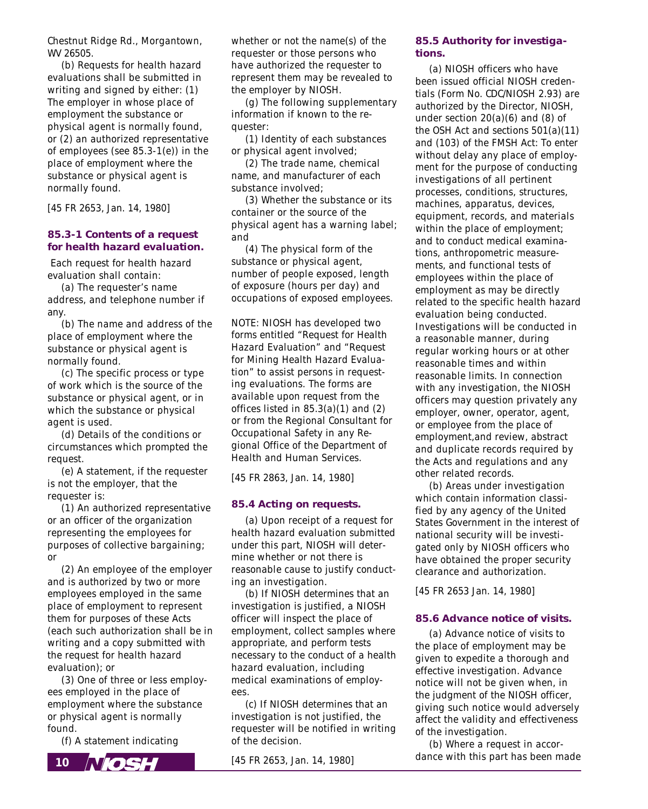*Chestnut Ridge Rd., Morgantown, WV 26505.*

*(b) Requests for health hazard evaluations shall be submitted in writing and signed by either: (1) The employer in whose place of employment the substance or physical agent is normally found, or (2) an authorized representative of employees (see 85.3-1(e)) in the place of employment where the substance or physical agent is normally found.*

*[45 FR 2653, Jan. 14, 1980]*

#### **85.3-1 Contents of a request for health hazard evaluation.**

 *Each request for health hazard evaluation shall contain:*

*(a) The requester's name address, and telephone number if any.*

*(b) The name and address of the place of employment where the substance or physical agent is normally found.*

*(c) The specific process or type of work which is the source of the substance or physical agent, or in which the substance or physical agent is used.*

*(d) Details of the conditions or circumstances which prompted the request.*

*(e) A statement, if the requester is not the employer, that the requester is:*

*(1) An authorized representative or an officer of the organization representing the employees for purposes of collective bargaining; or*

*(2) An employee of the employer and is authorized by two or more employees employed in the same place of employment to represent them for purposes of these Acts (each such authorization shall be in writing and a copy submitted with the request for health hazard evaluation); or*

*(3) One of three or less employees employed in the place of employment where the substance or physical agent is normally found.*

*(f) A statement indicating*



*whether or not the name(s) of the requester or those persons who have authorized the requester to represent them may be revealed to the employer by NIOSH.*

*(g) The following supplementary information if known to the requester:*

*(1) Identity of each substances or physical agent involved;*

*(2) The trade name, chemical name, and manufacturer of each substance involved;*

*(3) Whether the substance or its container or the source of the physical agent has a warning label; and*

*(4) The physical form of the substance or physical agent, number of people exposed, length of exposure (hours per day) and occupations of exposed employees.*

*NOTE: NIOSH has developed two forms entitled "Request for Health Hazard Evaluation" and "Request for Mining Health Hazard Evaluation" to assist persons in requesting evaluations. The forms are available upon request from the offices listed in 85.3(a)(1) and (2) or from the Regional Consultant for Occupational Safety in any Regional Office of the Department of Health and Human Services.*

*[45 FR 2863, Jan. 14, 1980]*

#### **85.4 Acting on requests.**

*(a) Upon receipt of a request for health hazard evaluation submitted under this part, NIOSH will determine whether or not there is reasonable cause to justify conducting an investigation.*

*(b) If NIOSH determines that an investigation is justified, a NIOSH officer will inspect the place of employment, collect samples where appropriate, and perform tests necessary to the conduct of a health hazard evaluation, including medical examinations of employees.*

*(c) If NIOSH determines that an investigation is not justified, the requester will be notified in writing of the decision.*

*[45 FR 2653, Jan. 14, 1980]*

#### **85.5 Authority for investigations.**

*(a) NIOSH officers who have been issued official NIOSH credentials (Form No. CDC/NIOSH 2.93) are authorized by the Director, NIOSH, under section 20(a)(6) and (8) of the OSH Act and sections 501(a)(11) and (103) of the FMSH Act: To enter without delay any place of employment for the purpose of conducting investigations of all pertinent processes, conditions, structures, machines, apparatus, devices, equipment, records, and materials within the place of employment; and to conduct medical examinations, anthropometric measurements, and functional tests of employees within the place of employment as may be directly related to the specific health hazard evaluation being conducted. Investigations will be conducted in a reasonable manner, during regular working hours or at other reasonable times and within reasonable limits. In connection with any investigation, the NIOSH officers may question privately any employer, owner, operator, agent, or employee from the place of employment,and review, abstract and duplicate records required by the Acts and regulations and any other related records.*

*(b) Areas under investigation which contain information classified by any agency of the United States Government in the interest of national security will be investigated only by NIOSH officers who have obtained the proper security clearance and authorization.*

*[45 FR 2653 Jan. 14, 1980]*

#### **85.6 Advance notice of visits.**

*(a) Advance notice of visits to the place of employment may be given to expedite a thorough and effective investigation. Advance notice will not be given when, in the judgment of the NIOSH officer, giving such notice would adversely affect the validity and effectiveness of the investigation.*

*(b) Where a request in accordance with this part has been made*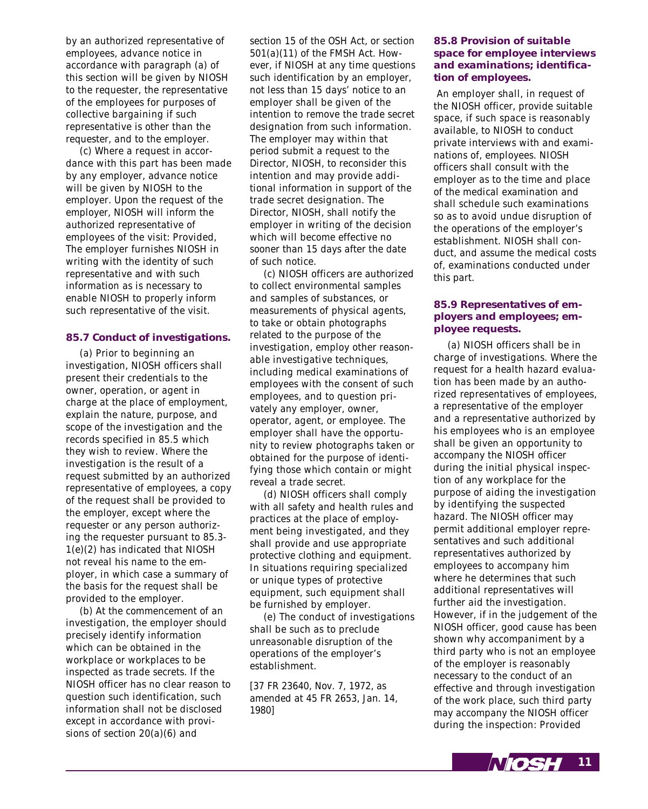*by an authorized representative of employees, advance notice in accordance with paragraph (a) of this section will be given by NIOSH to the requester, the representative of the employees for purposes of collective bargaining if such representative is other than the requester, and to the employer.*

*(c) Where a request in accordance with this part has been made by any employer, advance notice will be given by NIOSH to the employer. Upon the request of the employer, NIOSH will inform the authorized representative of employees of the visit: Provided, The employer furnishes NIOSH in writing with the identity of such representative and with such information as is necessary to enable NIOSH to properly inform such representative of the visit.*

#### **85.7 Conduct of investigations.**

*(a) Prior to beginning an investigation, NIOSH officers shall present their credentials to the owner, operation, or agent in charge at the place of employment, explain the nature, purpose, and scope of the investigation and the records specified in 85.5 which they wish to review. Where the investigation is the result of a request submitted by an authorized representative of employees, a copy of the request shall be provided to the employer, except where the requester or any person authorizing the requester pursuant to 85.3- 1(e)(2) has indicated that NIOSH not reveal his name to the employer, in which case a summary of the basis for the request shall be provided to the employer.*

*(b) At the commencement of an investigation, the employer should precisely identify information which can be obtained in the workplace or workplaces to be inspected as trade secrets. If the NIOSH officer has no clear reason to question such identification, such information shall not be disclosed except in accordance with provisions of section 20(a)(6) and*

*section 15 of the OSH Act, or section 501(a)(11) of the FMSH Act. However, if NIOSH at any time questions such identification by an employer, not less than 15 days' notice to an employer shall be given of the intention to remove the trade secret designation from such information. The employer may within that period submit a request to the Director, NIOSH, to reconsider this intention and may provide additional information in support of the trade secret designation. The Director, NIOSH, shall notify the employer in writing of the decision which will become effective no sooner than 15 days after the date of such notice.*

*(c) NIOSH officers are authorized to collect environmental samples and samples of substances, or measurements of physical agents, to take or obtain photographs related to the purpose of the investigation, employ other reasonable investigative techniques, including medical examinations of employees with the consent of such employees, and to question privately any employer, owner, operator, agent, or employee. The employer shall have the opportunity to review photographs taken or obtained for the purpose of identifying those which contain or might reveal a trade secret.*

*(d) NIOSH officers shall comply with all safety and health rules and practices at the place of employment being investigated, and they shall provide and use appropriate protective clothing and equipment. In situations requiring specialized or unique types of protective equipment, such equipment shall be furnished by employer.*

*(e) The conduct of investigations shall be such as to preclude unreasonable disruption of the operations of the employer's establishment.*

*[37 FR 23640, Nov. 7, 1972, as amended at 45 FR 2653, Jan. 14, 1980]*

#### **85.8 Provision of suitable space for employee interviews and examinations; identification of employees.**

 *An employer shall, in request of the NIOSH officer, provide suitable space, if such space is reasonably available, to NIOSH to conduct private interviews with and examinations of, employees. NIOSH officers shall consult with the employer as to the time and place of the medical examination and shall schedule such examinations so as to avoid undue disruption of the operations of the employer's establishment. NIOSH shall conduct, and assume the medical costs of, examinations conducted under this part.*

#### **85.9 Representatives of employers and employees; employee requests.**

*(a) NIOSH officers shall be in charge of investigations. Where the request for a health hazard evaluation has been made by an authorized representatives of employees, a representative of the employer and a representative authorized by his employees who is an employee shall be given an opportunity to accompany the NIOSH officer during the initial physical inspection of any workplace for the purpose of aiding the investigation by identifying the suspected hazard. The NIOSH officer may permit additional employer representatives and such additional representatives authorized by employees to accompany him where he determines that such additional representatives will further aid the investigation. However, if in the judgement of the NIOSH officer, good cause has been shown why accompaniment by a third party who is not an employee of the employer is reasonably necessary to the conduct of an effective and through investigation of the work place, such third party may accompany the NIOSH officer during the inspection: Provided*